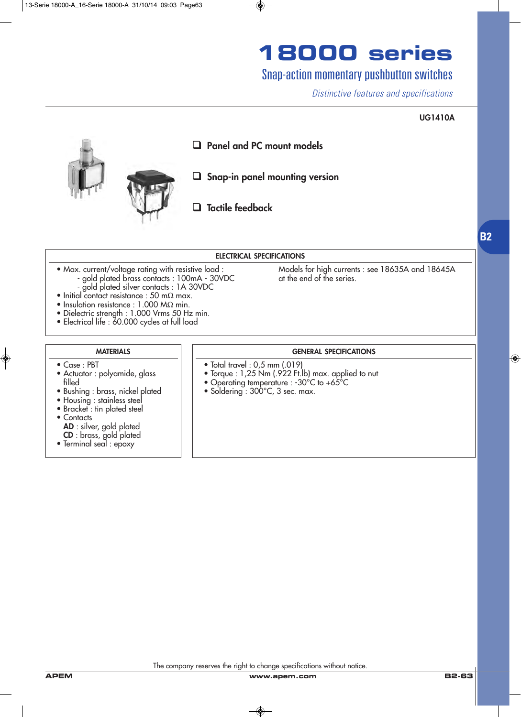### Snap-action momentary pushbutton switches

*Distinctive features and specifications*

#### **UG1410A**



#### **ELECTRICAL SPECIFICATIONS**

- Max. current/voltage rating with resistive load : Models for high currents : see 18635A and 18645A<br>- aold plated brass contacts : 100mA 30VDC at the end of the series. - gold plated brass contacts : 100mA - 30VDC at the end of the series.
	- gold plated silver contacts : 1A 30VDC
- Initial contact resistance : 50 m $\Omega$  max.
- Insulation resistance : 1.000 MΩ min.
- Dielectric strength : 1.000 Vrms 50 Hz min.
- Electrical life : 60.000 cycles at full load

#### **MATERIALS**

- Case : PBT
- Actuator : polyamide, glass filled
- Bushing : brass, nickel plated
- Housing : stainless steel
- Bracket : tin plated steel
- Contacts
	- **AD** : silver, gold plated
	- **CD** : brass, gold plated
- Terminal seal : epoxy

#### **GENERAL SPECIFICATIONS**

- Total travel : 0,5 mm (.019)
- Torque : 1,25 Nm (.922 Ft.lb) max. applied to nut
- Operating temperature : -30°C to +65°C
- Soldering : 300°C, 3 sec. max.

The company reserves the right to change specifications without notice.

**B2**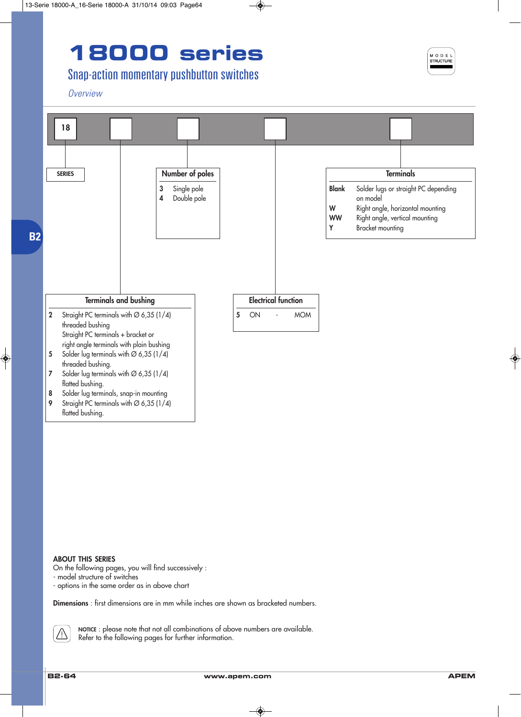## Snap-action momentary pushbutton switches

*Overview*



#### **ABOUT THIS SERIES**

On the following pages, you will find successively :

- model structure of switches
- options in the same order as in above chart

**Dimensions** : first dimensions are in mm while inches are shown as bracketed numbers.



**NOTICE** : please note that not all combinations of above numbers are available. Refer to the following pages for further information.

MODE STRUCTURE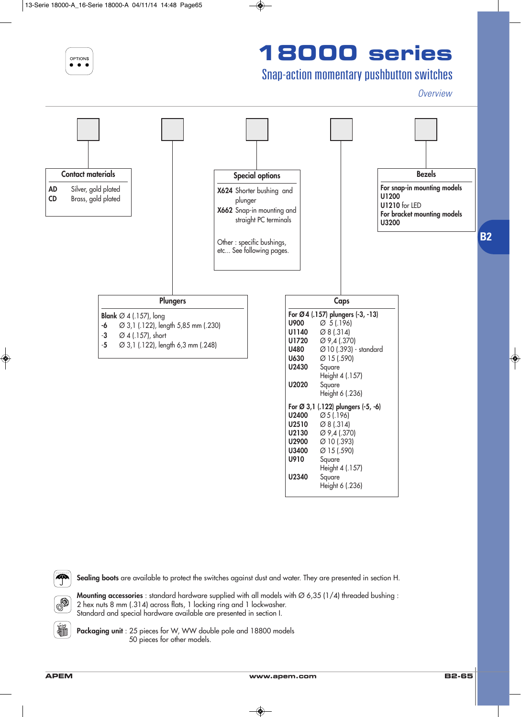OPTIONS

# **18000 series**

## Snap-action momentary pushbutton switches

*Overview*



 $\clubsuit$ 

榆

**Sealing boots** are available to protect the switches against dust and water. They are presented in section H.

**Mounting accessories**: standard hardware supplied with all models with  $\varnothing$  6.35 (1/4) threaded bushing : 2 hex nuts 8 mm (.314) across flats, 1 locking ring and 1 lockwasher. Standard and special hardware available are presented in section I.

**Packaging unit** : 25 pieces for W, WW double pole and 18800 models 50 pieces for other models.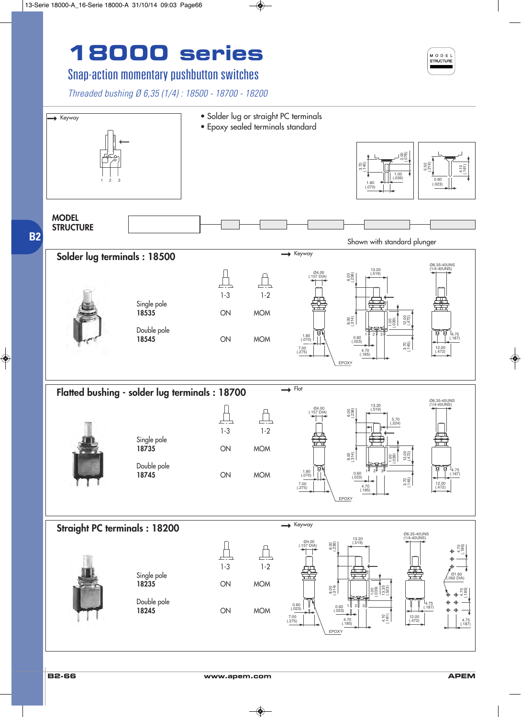## Snap-action momentary pushbutton switches

*Threaded bushing Ø 6,35 (1/4) : 18500 - 18700 - 18200*



EPOXY 

 $(.023)$   $\qquad \qquad (.023)$ 

 $7.00$ <br>(.275)

0.60 

0.60 

(.275) | | \ | 4./0 | | | 국론 | (.472) (.185) 

1 U 2 U 3

**B2**

**MODEL STRUCTURE**

 $\rightarrow$  Keyway

**18245** ON MOM

12.00<br>(.472)

(.161) 4.10

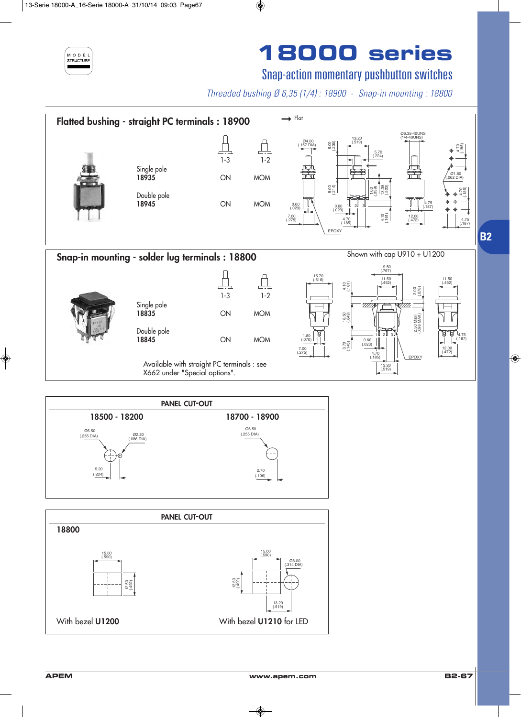

## Snap-action momentary pushbutton switches

*Threaded bushing Ø 6,35 (1/4) : 18900 - Snap-in mounting : 18800*





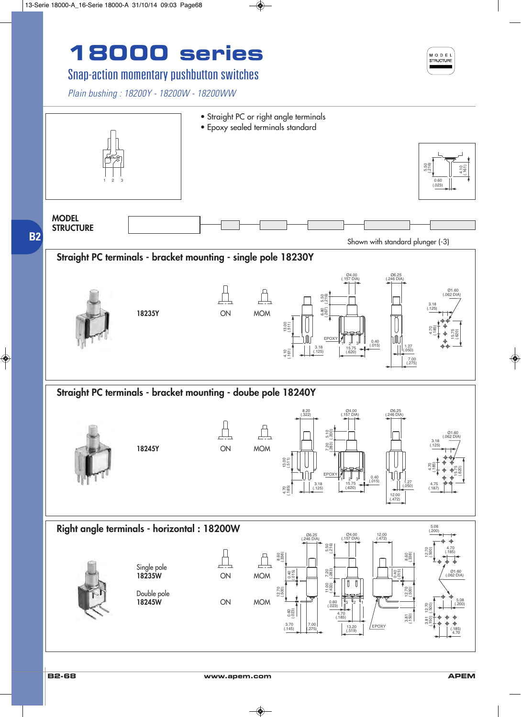## Snap-action momentary pushbutton switches

*Plain bushing : 18200Y - 18200W - 18200WW*



MODEL STRUCTURE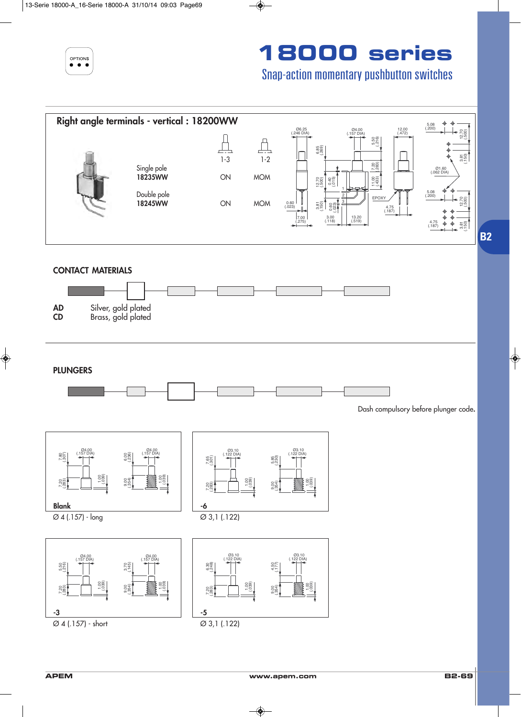

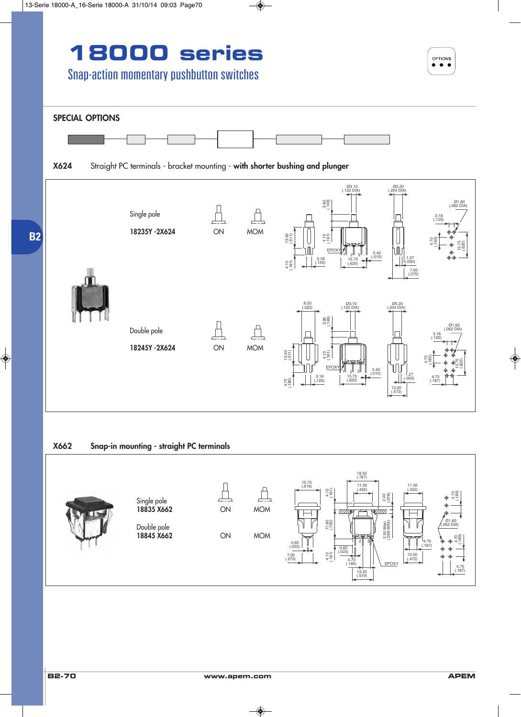





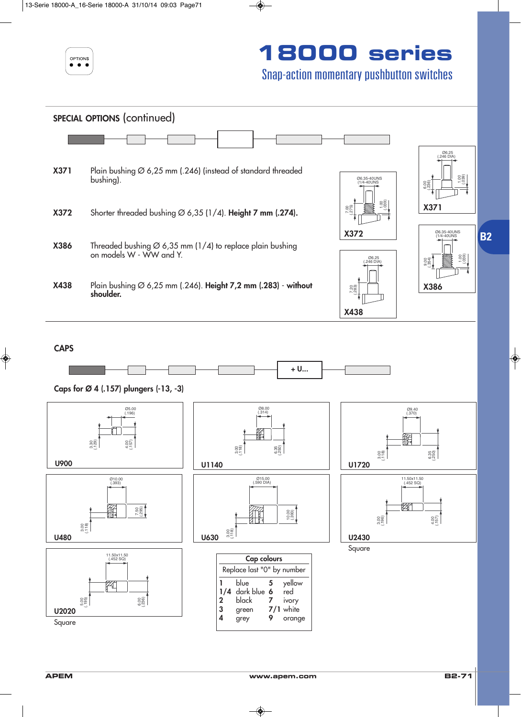



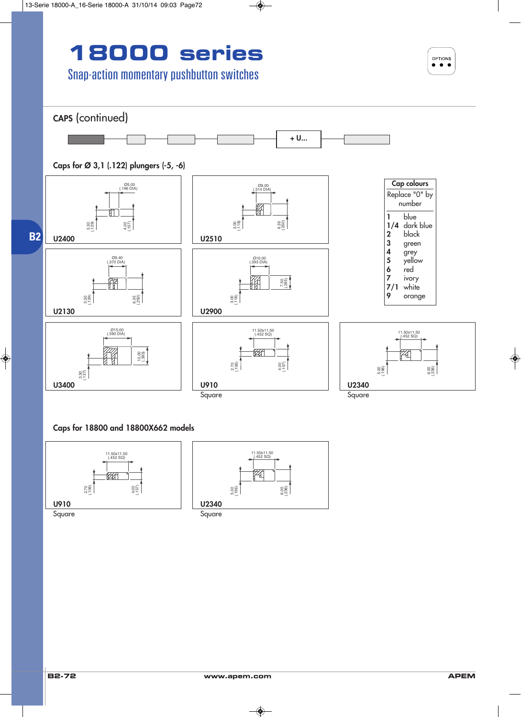



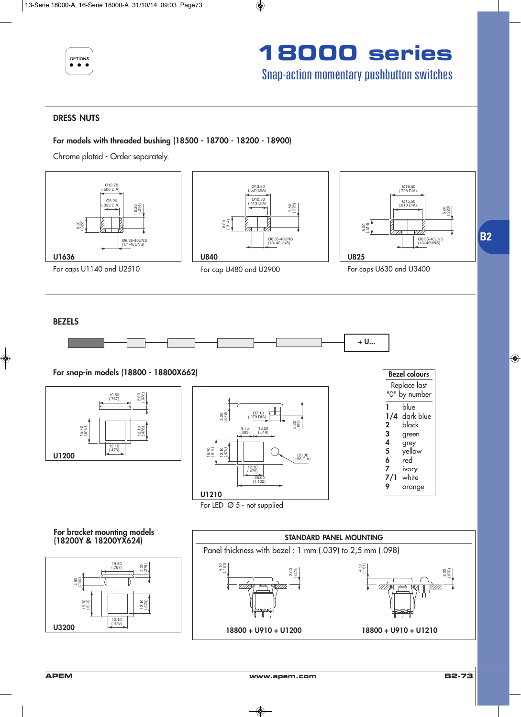



#### **DRESS NUTS**

#### **For models with threaded bushing (18500 - 18700 - 18200 - 18900)**

Chrome plated - Order separately.

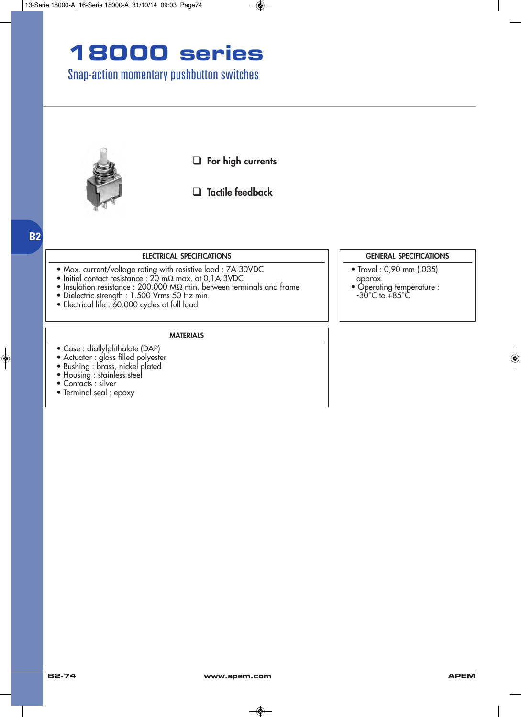## Snap-action momentary pushbutton switches



❑ **For high currents**

### ❑ **Tactile feedback**

### **B2**

#### **ELECTRICAL SPECIFICATIONS**

- Max. current/voltage rating with resistive load : 7A 30VDC
- Initial contact resistance : 20 mΩ max. at 0,1A 3VDC
- Insulation resistance : 200.000 MΩ min. between terminals and frame
- Dielectric strength : 1.500 Vrms 50 Hz min.
- Electrical life : 60.000 cycles at full load

#### **MATERIALS**

- Case : diallylphthalate (DAP)
- Actuator : glass filled polyester
- Bushing : brass, nickel plated
- Housing : stainless steel
- Contacts : silver
- Terminal seal : epoxy

#### **GENERAL SPECIFICATIONS**

- Travel : 0,90 mm (.035) approx.
- Operating temperature :  $-30^{\circ}$ C to  $+85^{\circ}$ C